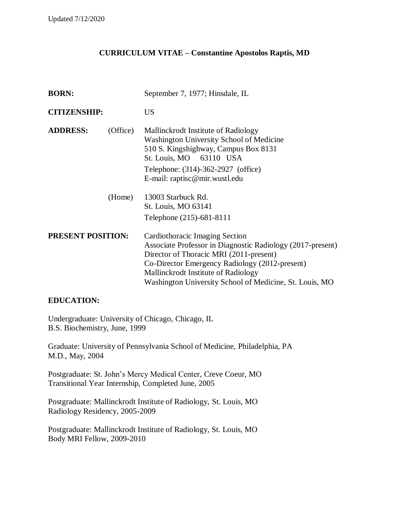## **CURRICULUM VITAE – Constantine Apostolos Raptis, MD**

| <b>BORN:</b>             |          | September 7, 1977; Hinsdale, IL                                                                                                                                                                                                                                                             |
|--------------------------|----------|---------------------------------------------------------------------------------------------------------------------------------------------------------------------------------------------------------------------------------------------------------------------------------------------|
| <b>CITIZENSHIP:</b>      |          | <b>US</b>                                                                                                                                                                                                                                                                                   |
| <b>ADDRESS:</b>          | (Office) | Mallinckrodt Institute of Radiology<br>Washington University School of Medicine<br>510 S. Kingshighway, Campus Box 8131<br>St. Louis, MO 63110 USA<br>Telephone: (314)-362-2927 (office)<br>E-mail: raptisc@mir.wustl.edu                                                                   |
|                          | (Home)   | 13003 Starbuck Rd.<br>St. Louis, MO 63141<br>Telephone (215)-681-8111                                                                                                                                                                                                                       |
| <b>PRESENT POSITION:</b> |          | Cardiothoracic Imaging Section<br>Associate Professor in Diagnostic Radiology (2017-present)<br>Director of Thoracic MRI (2011-present)<br>Co-Director Emergency Radiology (2012-present)<br>Mallinckrodt Institute of Radiology<br>Washington University School of Medicine, St. Louis, MO |

#### **EDUCATION:**

Undergraduate: University of Chicago, Chicago, IL B.S. Biochemistry, June, 1999

Graduate: University of Pennsylvania School of Medicine, Philadelphia, PA M.D., May, 2004

Postgraduate: St. John's Mercy Medical Center, Creve Coeur, MO Transitional Year Internship, Completed June, 2005

Postgraduate: Mallinckrodt Institute of Radiology, St. Louis, MO Radiology Residency, 2005-2009

Postgraduate: Mallinckrodt Institute of Radiology, St. Louis, MO Body MRI Fellow, 2009-2010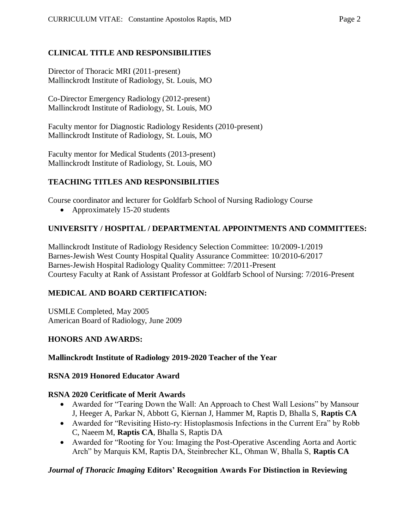## **CLINICAL TITLE AND RESPONSIBILITIES**

Director of Thoracic MRI (2011-present) Mallinckrodt Institute of Radiology, St. Louis, MO

Co-Director Emergency Radiology (2012-present) Mallinckrodt Institute of Radiology, St. Louis, MO

Faculty mentor for Diagnostic Radiology Residents (2010-present) Mallinckrodt Institute of Radiology, St. Louis, MO

Faculty mentor for Medical Students (2013-present) Mallinckrodt Institute of Radiology, St. Louis, MO

## **TEACHING TITLES AND RESPONSIBILITIES**

Course coordinator and lecturer for Goldfarb School of Nursing Radiology Course

• Approximately 15-20 students

## **UNIVERSITY / HOSPITAL / DEPARTMENTAL APPOINTMENTS AND COMMITTEES:**

Mallinckrodt Institute of Radiology Residency Selection Committee: 10/2009-1/2019 Barnes-Jewish West County Hospital Quality Assurance Committee: 10/2010-6/2017 Barnes-Jewish Hospital Radiology Quality Committee: 7/2011-Present Courtesy Faculty at Rank of Assistant Professor at Goldfarb School of Nursing: 7/2016-Present

## **MEDICAL AND BOARD CERTIFICATION:**

USMLE Completed, May 2005 American Board of Radiology, June 2009

## **HONORS AND AWARDS:**

## **Mallinckrodt Institute of Radiology 2019-2020 Teacher of the Year**

#### **RSNA 2019 Honored Educator Award**

## **RSNA 2020 Ceritficate of Merit Awards**

- Awarded for "Tearing Down the Wall: An Approach to Chest Wall Lesions" by Mansour J, Heeger A, Parkar N, Abbott G, Kiernan J, Hammer M, Raptis D, Bhalla S, **Raptis CA**
- Awarded for "Revisiting Histo-ry: Histoplasmosis Infections in the Current Era" by Robb C, Naeem M, **Raptis CA**, Bhalla S, Raptis DA
- Awarded for "Rooting for You: Imaging the Post-Operative Ascending Aorta and Aortic Arch" by Marquis KM, Raptis DA, Steinbrecher KL, Ohman W, Bhalla S, **Raptis CA**

## *Journal of Thoracic Imaging* **Editors' Recognition Awards For Distinction in Reviewing**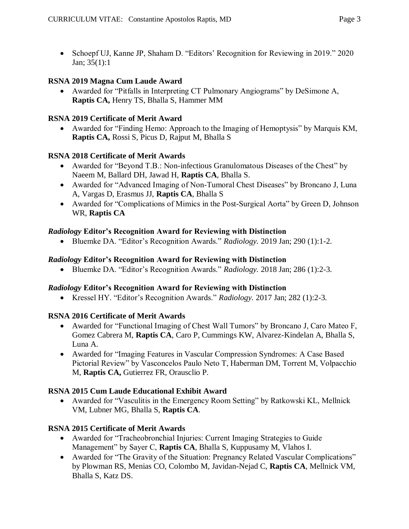• Schoepf UJ, Kanne JP, Shaham D. "Editors' Recognition for Reviewing in 2019." 2020 Jan; 35(1):1

### **RSNA 2019 Magna Cum Laude Award**

 Awarded for "Pitfalls in Interpreting CT Pulmonary Angiograms" by DeSimone A, **Raptis CA,** Henry TS, Bhalla S, Hammer MM

#### **RSNA 2019 Certificate of Merit Award**

 Awarded for "Finding Hemo: Approach to the Imaging of Hemoptysis" by Marquis KM, **Raptis CA,** Rossi S, Picus D, Rajput M, Bhalla S

### **RSNA 2018 Certificate of Merit Awards**

- Awarded for "Beyond T.B.: Non-infectious Granulomatous Diseases of the Chest" by Naeem M, Ballard DH, Jawad H, **Raptis CA**, Bhalla S.
- Awarded for "Advanced Imaging of Non-Tumoral Chest Diseases" by Broncano J, Luna A, Vargas D, Erasmus JJ, **Raptis CA**, Bhalla S
- Awarded for "Complications of Mimics in the Post-Surgical Aorta" by Green D, Johnson WR, **Raptis CA**

### *Radiology* **Editor's Recognition Award for Reviewing with Distinction**

Bluemke DA. "Editor's Recognition Awards." *Radiology.* 2019 Jan; 290 (1):1-2.

#### *Radiology* **Editor's Recognition Award for Reviewing with Distinction**

Bluemke DA. "Editor's Recognition Awards." *Radiology.* 2018 Jan; 286 (1):2-3.

#### *Radiology* **Editor's Recognition Award for Reviewing with Distinction**

Kressel HY. "Editor's Recognition Awards." *Radiology.* 2017 Jan; 282 (1):2-3.

## **RSNA 2016 Certificate of Merit Awards**

- Awarded for "Functional Imaging of Chest Wall Tumors" by Broncano J, Caro Mateo F, Gomez Cabrera M, **Raptis CA**, Caro P, Cummings KW, Alvarez-Kindelan A, Bhalla S, Luna A.
- Awarded for "Imaging Features in Vascular Compression Syndromes: A Case Based Pictorial Review" by Vasconcelos Paulo Neto T, Haberman DM, Torrent M, Volpacchio M, **Raptis CA,** Gutierrez FR, Orausclio P.

#### **RSNA 2015 Cum Laude Educational Exhibit Award**

 Awarded for "Vasculitis in the Emergency Room Setting" by Ratkowski KL, Mellnick VM, Lubner MG, Bhalla S, **Raptis CA**.

#### **RSNA 2015 Certificate of Merit Awards**

- Awarded for "Tracheobronchial Injuries: Current Imaging Strategies to Guide Management" by Sayer C, **Raptis CA**, Bhalla S, Kuppusamy M, Vlahos I.
- Awarded for "The Gravity of the Situation: Pregnancy Related Vascular Complications" by Plowman RS, Menias CO, Colombo M, Javidan-Nejad C, **Raptis CA**, Mellnick VM, Bhalla S, Katz DS.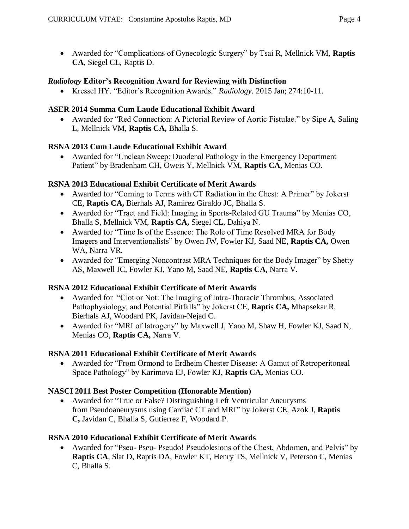Awarded for "Complications of Gynecologic Surgery" by Tsai R, Mellnick VM, **Raptis CA**, Siegel CL, Raptis D.

### *Radiology* **Editor's Recognition Award for Reviewing with Distinction**

Kressel HY. "Editor's Recognition Awards." *Radiology.* 2015 Jan; 274:10-11.

### **ASER 2014 Summa Cum Laude Educational Exhibit Award**

 Awarded for "Red Connection: A Pictorial Review of Aortic Fistulae." by Sipe A, Saling L, Mellnick VM, **Raptis CA,** Bhalla S.

## **RSNA 2013 Cum Laude Educational Exhibit Award**

 Awarded for "Unclean Sweep: Duodenal Pathology in the Emergency Department Patient" by Bradenham CH, Oweis Y, Mellnick VM, **Raptis CA,** Menias CO.

### **RSNA 2013 Educational Exhibit Certificate of Merit Awards**

- Awarded for "Coming to Terms with CT Radiation in the Chest: A Primer" by Jokerst CE, **Raptis CA,** Bierhals AJ, Ramirez Giraldo JC, Bhalla S.
- Awarded for "Tract and Field: Imaging in Sports-Related GU Trauma" by Menias CO, Bhalla S, Mellnick VM, **Raptis CA,** Siegel CL, Dahiya N.
- Awarded for "Time Is of the Essence: The Role of Time Resolved MRA for Body Imagers and Interventionalists" by Owen JW, Fowler KJ, Saad NE, **Raptis CA,** Owen WA, Narra VR.
- Awarded for "Emerging Noncontrast MRA Techniques for the Body Imager" by Shetty AS, Maxwell JC, Fowler KJ, Yano M, Saad NE, **Raptis CA,** Narra V.

## **RSNA 2012 Educational Exhibit Certificate of Merit Awards**

- Awarded for "Clot or Not: The Imaging of Intra-Thoracic Thrombus, Associated Pathophysiology, and Potential Pitfalls" by Jokerst CE, **Raptis CA,** Mhapsekar R, Bierhals AJ, Woodard PK, Javidan-Nejad C.
- Awarded for "MRI of Iatrogeny" by Maxwell J, Yano M, Shaw H, Fowler KJ, Saad N, Menias CO, **Raptis CA,** Narra V.

## **RSNA 2011 Educational Exhibit Certificate of Merit Awards**

 Awarded for "From Ormond to Erdheim Chester Disease: A Gamut of Retroperitoneal Space Pathology" by Karimova EJ, Fowler KJ, **Raptis CA,** Menias CO.

## **NASCI 2011 Best Poster Competition (Honorable Mention)**

 Awarded for "True or False? Distinguishing Left Ventricular Aneurysms from Pseudoaneurysms using Cardiac CT and MRI" by Jokerst CE, Azok J, **Raptis C,** Javidan C, Bhalla S, Gutierrez F, Woodard P.

## **RSNA 2010 Educational Exhibit Certificate of Merit Awards**

 Awarded for "Pseu- Pseu- Pseudo! Pseudolesions of the Chest, Abdomen, and Pelvis" by **Raptis CA**, Slat D, Raptis DA, Fowler KT, Henry TS, Mellnick V, Peterson C, Menias C, Bhalla S.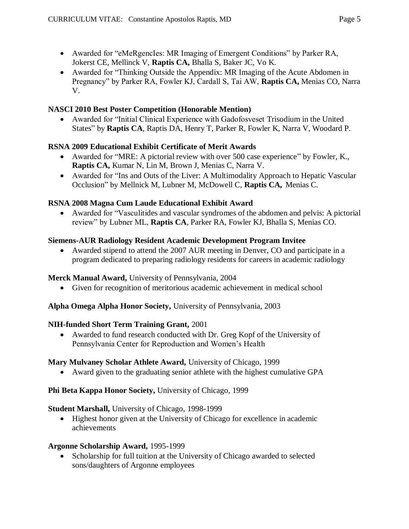- Awarded for "eMeRgencIes: MR Imaging of Emergent Conditions" by Parker RA, Jokerst CE, Mellinck V, **Raptis CA,** Bhalla S, Baker JC, Vo K.
- Awarded for "Thinking Outside the Appendix: MR Imaging of the Acute Abdomen in Pregnancy" by Parker RA, Fowler KJ, Cardall S, Tai AW, **Raptis CA,** Menias CO, Narra V.

## **NASCI 2010 Best Poster Competition (Honorable Mention)**

 Awarded for "Initial Clinical Experience with Gadofosveset Trisodium in the United States" by **Raptis CA**, Raptis DA, Henry T, Parker R, Fowler K, Narra V, Woodard P.

## **RSNA 2009 Educational Exhibit Certificate of Merit Awards**

- Awarded for "MRE: A pictorial review with over 500 case experience" by Fowler, K., **Raptis CA,** Kumar N, Lin M, Brown J, Menias C, Narra V.
- Awarded for "Ins and Outs of the Liver: A Multimodality Approach to Hepatic Vascular Occlusion" by Mellnick M, Lubner M, McDowell C, **Raptis CA,** Menias C.

## **RSNA 2008 Magna Cum Laude Educational Exhibit Award**

 Awarded for "Vasculitides and vascular syndromes of the abdomen and pelvis: A pictorial review" by Lubner ML, **Raptis CA**, Parker RA, Fowler KJ, Bhalla S, Menias CO.

## **Siemens-AUR Radiology Resident Academic Development Program Invitee**

 Awarded stipend to attend the 2007 AUR meeting in Denver, CO and participate in a program dedicated to preparing radiology residents for careers in academic radiology

## **Merck Manual Award,** University of Pennsylvania, 2004

Given for recognition of meritorious academic achievement in medical school

## **Alpha Omega Alpha Honor Society,** University of Pennsylvania, 2003

## **NIH-funded Short Term Training Grant,** 2001

 Awarded to fund research conducted with Dr. Greg Kopf of the University of Pennsylvania Center for Reproduction and Women's Health

## **Mary Mulvaney Scholar Athlete Award,** University of Chicago, 1999

Award given to the graduating senior athlete with the highest cumulative GPA

## **Phi Beta Kappa Honor Society,** University of Chicago, 1999

## **Student Marshall,** University of Chicago, 1998-1999

 Highest honor given at the University of Chicago for excellence in academic achievements

## **Argonne Scholarship Award,** 1995-1999

 Scholarship for full tuition at the University of Chicago awarded to selected sons/daughters of Argonne employees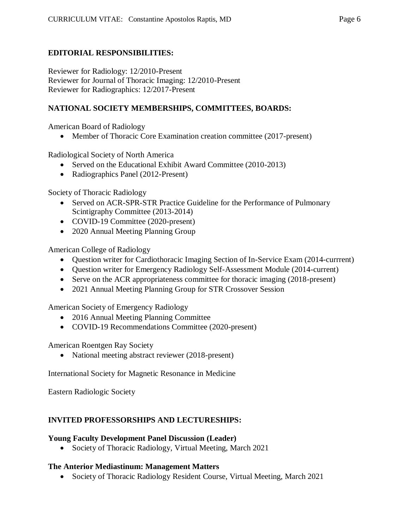## **EDITORIAL RESPONSIBILITIES:**

Reviewer for Radiology: 12/2010-Present Reviewer for Journal of Thoracic Imaging: 12/2010-Present Reviewer for Radiographics: 12/2017-Present

### **NATIONAL SOCIETY MEMBERSHIPS, COMMITTEES, BOARDS:**

American Board of Radiology

• Member of Thoracic Core Examination creation committee (2017-present)

Radiological Society of North America

- Served on the Educational Exhibit Award Committee (2010-2013)
- Radiographics Panel (2012-Present)

Society of Thoracic Radiology

- Served on ACR-SPR-STR Practice Guideline for the Performance of Pulmonary Scintigraphy Committee (2013-2014)
- COVID-19 Committee (2020-present)
- 2020 Annual Meeting Planning Group

American College of Radiology

- Question writer for Cardiothoracic Imaging Section of In-Service Exam (2014-currrent)
- Question writer for Emergency Radiology Self-Assessment Module (2014-current)
- Serve on the ACR appropriateness committee for thoracic imaging (2018-present)
- 2021 Annual Meeting Planning Group for STR Crossover Session

American Society of Emergency Radiology

- 2016 Annual Meeting Planning Committee
- COVID-19 Recommendations Committee (2020-present)

American Roentgen Ray Society

• National meeting abstract reviewer (2018-present)

International Society for Magnetic Resonance in Medicine

Eastern Radiologic Society

#### **INVITED PROFESSORSHIPS AND LECTURESHIPS:**

#### **Young Faculty Development Panel Discussion (Leader)**

Society of Thoracic Radiology, Virtual Meeting, March 2021

#### **The Anterior Mediastinum: Management Matters**

Society of Thoracic Radiology Resident Course, Virtual Meeting, March 2021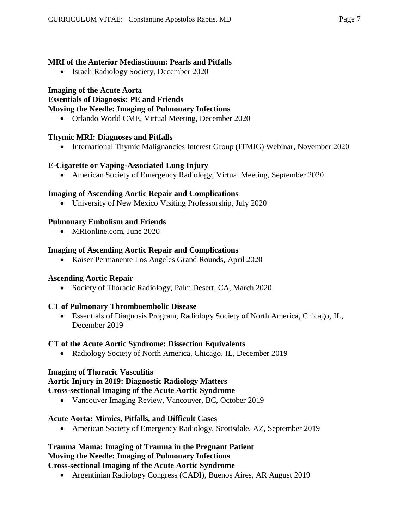## **MRI of the Anterior Mediastinum: Pearls and Pitfalls**

• Israeli Radiology Society, December 2020

## **Imaging of the Acute Aorta**

**Essentials of Diagnosis: PE and Friends**

## **Moving the Needle: Imaging of Pulmonary Infections**

Orlando World CME, Virtual Meeting, December 2020

## **Thymic MRI: Diagnoses and Pitfalls**

• International Thymic Malignancies Interest Group (ITMIG) Webinar, November 2020

## **E-Cigarette or Vaping-Associated Lung Injury**

American Society of Emergency Radiology, Virtual Meeting, September 2020

## **Imaging of Ascending Aortic Repair and Complications**

University of New Mexico Visiting Professorship, July 2020

## **Pulmonary Embolism and Friends**

• MRIonline.com, June 2020

## **Imaging of Ascending Aortic Repair and Complications**

Kaiser Permanente Los Angeles Grand Rounds, April 2020

## **Ascending Aortic Repair**

• Society of Thoracic Radiology, Palm Desert, CA, March 2020

## **CT of Pulmonary Thromboembolic Disease**

 Essentials of Diagnosis Program, Radiology Society of North America, Chicago, IL, December 2019

## **CT of the Acute Aortic Syndrome: Dissection Equivalents**

• Radiology Society of North America, Chicago, IL, December 2019

## **Imaging of Thoracic Vasculitis**

## **Aortic Injury in 2019: Diagnostic Radiology Matters**

## **Cross-sectional Imaging of the Acute Aortic Syndrome**

• Vancouver Imaging Review, Vancouver, BC, October 2019

## **Acute Aorta: Mimics, Pitfalls, and Difficult Cases**

American Society of Emergency Radiology, Scottsdale, AZ, September 2019

# **Trauma Mama: Imaging of Trauma in the Pregnant Patient Moving the Needle: Imaging of Pulmonary Infections**

## **Cross-sectional Imaging of the Acute Aortic Syndrome**

Argentinian Radiology Congress (CADI), Buenos Aires, AR August 2019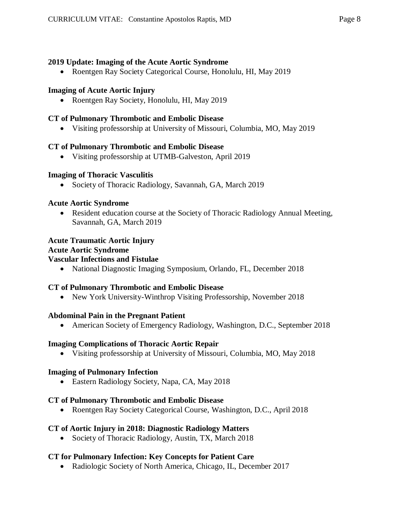### **2019 Update: Imaging of the Acute Aortic Syndrome**

• Roentgen Ray Society Categorical Course, Honolulu, HI, May 2019

#### **Imaging of Acute Aortic Injury**

• Roentgen Ray Society, Honolulu, HI, May 2019

#### **CT of Pulmonary Thrombotic and Embolic Disease**

Visiting professorship at University of Missouri, Columbia, MO, May 2019

### **CT of Pulmonary Thrombotic and Embolic Disease**

Visiting professorship at UTMB-Galveston, April 2019

### **Imaging of Thoracic Vasculitis**

• Society of Thoracic Radiology, Savannah, GA, March 2019

### **Acute Aortic Syndrome**

 Resident education course at the Society of Thoracic Radiology Annual Meeting, Savannah, GA, March 2019

## **Acute Traumatic Aortic Injury**

#### **Acute Aortic Syndrome**

### **Vascular Infections and Fistulae**

National Diagnostic Imaging Symposium, Orlando, FL, December 2018

## **CT of Pulmonary Thrombotic and Embolic Disease**

New York University-Winthrop Visiting Professorship, November 2018

## **Abdominal Pain in the Pregnant Patient**

American Society of Emergency Radiology, Washington, D.C., September 2018

## **Imaging Complications of Thoracic Aortic Repair**

Visiting professorship at University of Missouri, Columbia, MO, May 2018

#### **Imaging of Pulmonary Infection**

Eastern Radiology Society, Napa, CA, May 2018

## **CT of Pulmonary Thrombotic and Embolic Disease**

Roentgen Ray Society Categorical Course, Washington, D.C., April 2018

#### **CT of Aortic Injury in 2018: Diagnostic Radiology Matters**

• Society of Thoracic Radiology, Austin, TX, March 2018

## **CT for Pulmonary Infection: Key Concepts for Patient Care**

Radiologic Society of North America, Chicago, IL, December 2017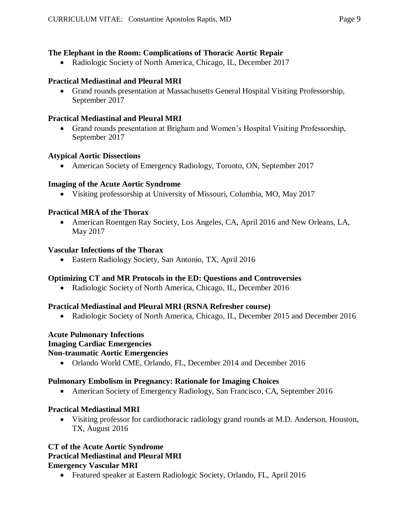## **The Elephant in the Room: Complications of Thoracic Aortic Repair**

Radiologic Society of North America, Chicago, IL, December 2017

### **Practical Mediastinal and Pleural MRI**

 Grand rounds presentation at Massachusetts General Hospital Visiting Professorship, September 2017

### **Practical Mediastinal and Pleural MRI**

 Grand rounds presentation at Brigham and Women's Hospital Visiting Professorship, September 2017

#### **Atypical Aortic Dissections**

American Society of Emergency Radiology, Toronto, ON, September 2017

### **Imaging of the Acute Aortic Syndrome**

Visiting professorship at University of Missouri, Columbia, MO, May 2017

### **Practical MRA of the Thorax**

 American Roentgen Ray Society, Los Angeles, CA, April 2016 and New Orleans, LA, May 2017

#### **Vascular Infections of the Thorax**

Eastern Radiology Society, San Antonio, TX, April 2016

## **Optimizing CT and MR Protocols in the ED: Questions and Controversies**

Radiologic Society of North America, Chicago, IL, December 2016

#### **Practical Mediastinal and Pleural MRI (RSNA Refresher course)**

• Radiologic Society of North America, Chicago, IL, December 2015 and December 2016

## **Acute Pulmonary Infections**

#### **Imaging Cardiac Emergencies**

#### **Non-traumatic Aortic Emergencies**

Orlando World CME, Orlando, FL, December 2014 and December 2016

#### **Pulmonary Embolism in Pregnancy: Rationale for Imaging Choices**

American Society of Emergency Radiology, San Francisco, CA, September 2016

#### **Practical Mediastinal MRI**

 Visiting professor for cardiothoracic radiology grand rounds at M.D. Anderson, Houston, TX, August 2016

### **CT of the Acute Aortic Syndrome Practical Mediastinal and Pleural MRI Emergency Vascular MRI**

Featured speaker at Eastern Radiologic Society, Orlando, FL, April 2016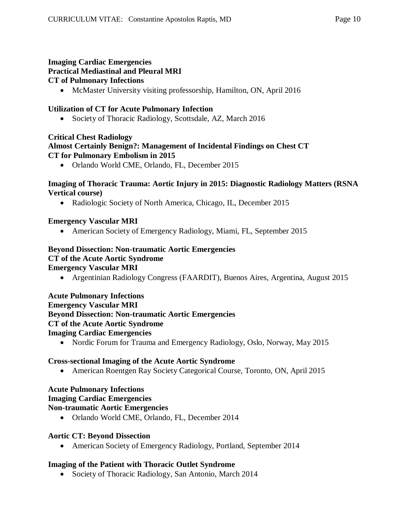### **Imaging Cardiac Emergencies Practical Mediastinal and Pleural MRI CT of Pulmonary Infections**

McMaster University visiting professorship, Hamilton, ON, April 2016

## **Utilization of CT for Acute Pulmonary Infection**

• Society of Thoracic Radiology, Scottsdale, AZ, March 2016

## **Critical Chest Radiology Almost Certainly Benign?: Management of Incidental Findings on Chest CT CT for Pulmonary Embolism in 2015**

Orlando World CME, Orlando, FL, December 2015

## **Imaging of Thoracic Trauma: Aortic Injury in 2015: Diagnostic Radiology Matters (RSNA Vertical course)**

• Radiologic Society of North America, Chicago, IL, December 2015

## **Emergency Vascular MRI**

American Society of Emergency Radiology, Miami, FL, September 2015

### **Beyond Dissection: Non-traumatic Aortic Emergencies CT of the Acute Aortic Syndrome Emergency Vascular MRI**

Argentinian Radiology Congress (FAARDIT), Buenos Aires, Argentina, August 2015

### **Acute Pulmonary Infections Emergency Vascular MRI Beyond Dissection: Non-traumatic Aortic Emergencies CT of the Acute Aortic Syndrome Imaging Cardiac Emergencies**

• Nordic Forum for Trauma and Emergency Radiology, Oslo, Norway, May 2015

## **Cross-sectional Imaging of the Acute Aortic Syndrome**

American Roentgen Ray Society Categorical Course, Toronto, ON, April 2015

#### **Acute Pulmonary Infections Imaging Cardiac Emergencies Non-traumatic Aortic Emergencies**

Orlando World CME, Orlando, FL, December 2014

## **Aortic CT: Beyond Dissection**

American Society of Emergency Radiology, Portland, September 2014

## **Imaging of the Patient with Thoracic Outlet Syndrome**

• Society of Thoracic Radiology, San Antonio, March 2014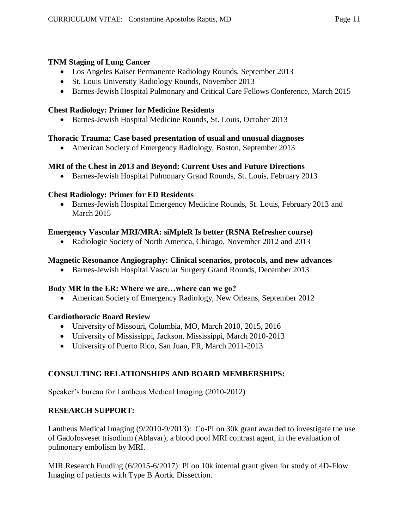## **TNM Staging of Lung Cancer**

- Los Angeles Kaiser Permanente Radiology Rounds, September 2013
- St. Louis University Radiology Rounds, November 2013
- Barnes-Jewish Hospital Pulmonary and Critical Care Fellows Conference, March 2015

## **Chest Radiology: Primer for Medicine Residents**

Barnes-Jewish Hospital Medicine Rounds, St. Louis, October 2013

## **Thoracic Trauma: Case based presentation of usual and unusual diagnoses**

American Society of Emergency Radiology, Boston, September 2013

## **MRI of the Chest in 2013 and Beyond: Current Uses and Future Directions**

Barnes-Jewish Hospital Pulmonary Grand Rounds, St. Louis, February 2013

## **Chest Radiology: Primer for ED Residents**

 Barnes-Jewish Hospital Emergency Medicine Rounds, St. Louis, February 2013 and March 2015

## **Emergency Vascular MRI/MRA: siMpleR Is better (RSNA Refresher course)**

• Radiologic Society of North America, Chicago, November 2012 and 2013

## **Magnetic Resonance Angiography: Clinical scenarios, protocols, and new advances**

Barnes-Jewish Hospital Vascular Surgery Grand Rounds, December 2013

## **Body MR in the ER: Where we are…where can we go?**

• American Society of Emergency Radiology, New Orleans, September 2012

## **Cardiothoracic Board Review**

- University of Missouri, Columbia, MO, March 2010, 2015, 2016
- University of Mississippi, Jackson, Mississippi, March 2010-2013
- University of Puerto Rico, San Juan, PR, March 2011-2013

## **CONSULTING RELATIONSHIPS AND BOARD MEMBERSHIPS:**

Speaker's bureau for Lantheus Medical Imaging (2010-2012)

## **RESEARCH SUPPORT:**

Lantheus Medical Imaging (9/2010-9/2013): Co-PI on 30k grant awarded to investigate the use of Gadofosveset trisodium (Ablavar), a blood pool MRI contrast agent, in the evaluation of pulmonary embolism by MRI.

MIR Research Funding (6/2015-6/2017): PI on 10k internal grant given for study of 4D-Flow Imaging of patients with Type B Aortic Dissection.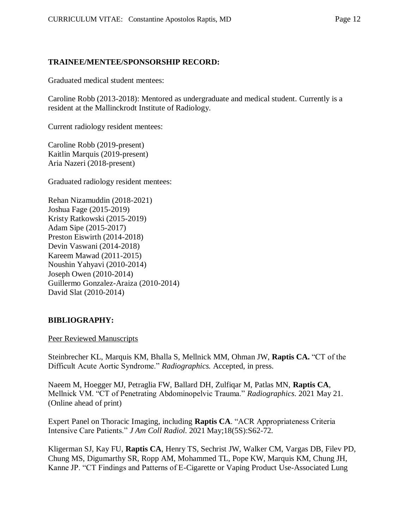#### **TRAINEE/MENTEE/SPONSORSHIP RECORD:**

Graduated medical student mentees:

Caroline Robb (2013-2018): Mentored as undergraduate and medical student. Currently is a resident at the Mallinckrodt Institute of Radiology.

Current radiology resident mentees:

Caroline Robb (2019-present) Kaitlin Marquis (2019-present) Aria Nazeri (2018-present)

Graduated radiology resident mentees:

Rehan Nizamuddin (2018-2021) Joshua Fage (2015-2019) Kristy Ratkowski (2015-2019) Adam Sipe (2015-2017) Preston Eiswirth (2014-2018) Devin Vaswani (2014-2018) Kareem Mawad (2011-2015) Noushin Yahyavi (2010-2014) Joseph Owen (2010-2014) Guillermo Gonzalez-Araiza (2010-2014) David Slat (2010-2014)

#### **BIBLIOGRAPHY:**

Peer Reviewed Manuscripts

Steinbrecher KL, Marquis KM, Bhalla S, Mellnick MM, Ohman JW, **Raptis CA.** "CT of the Difficult Acute Aortic Syndrome." *Radiographics.* Accepted, in press.

Naeem M, Hoegger MJ, Petraglia FW, Ballard DH, Zulfiqar M, Patlas MN, **Raptis CA**, Mellnick VM. "CT of Penetrating Abdominopelvic Trauma." *Radiographics*. 2021 May 21. (Online ahead of print)

Expert Panel on Thoracic Imaging, including **Raptis CA**. "ACR Appropriateness Criteria Intensive Care Patients." *J Am Coll Radiol*. 2021 May;18(5S):S62-72.

Kligerman SJ, Kay FU, **Raptis CA**, Henry TS, Sechrist JW, Walker CM, Vargas DB, Filev PD, Chung MS, Digumarthy SR, Ropp AM, Mohammed TL, Pope KW, Marquis KM, Chung JH, Kanne JP. "CT Findings and Patterns of E-Cigarette or Vaping Product Use-Associated Lung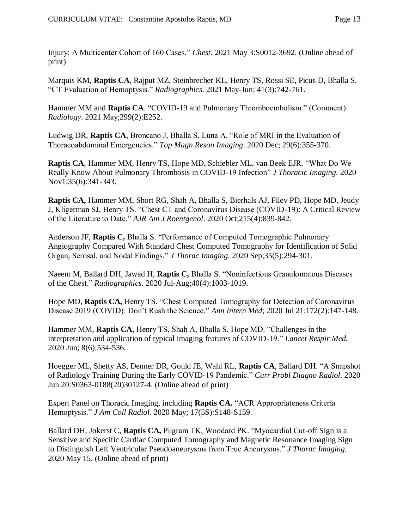Injury: A Multicenter Cohort of 160 Cases." *Chest*. 2021 May 3:S0012-3692. (Online ahead of print)

Marquis KM, **Raptis CA**, Rajput MZ, Steinbrecher KL, Henry TS, Rossi SE, Picus D, Bhalla S. "CT Evaluation of Hemoptysis." *Radiographics*. 2021 May-Jun; 41(3):742-761.

Hammer MM and **Raptis CA**. "COVID-19 and Pulmonary Thromboembolism." (Comment) *Radiology*. 2021 May;299(2):E252.

Ludwig DR, **Raptis CA**, Broncano J, Bhalla S, Luna A. "Role of MRI in the Evaluation of Thoracoabdominal Emergencies." *Top Magn Reson Imaging*. 2020 Dec; 29(6):355-370.

**Raptis CA**, Hammer MM, Henry TS, Hope MD, Schiebler ML, van Beek EJR. "What Do We Really Know About Pulmonary Thrombosis in COVID-19 Infection" *J Thoracic Imaging.* 2020 Nov1;35(6):341-343.

**Raptis CA,** Hammer MM, Short RG, Shah A, Bhalla S, Bierhals AJ, Filev PD, Hope MD, Jeudy J, Kligerman SJ, Henry TS. "Chest CT and Coronavirus Disease (COVID-19): A Critical Review of the Literature to Date." *AJR Am J Roentgenol*. 2020 Oct;215(4):839-842.

Anderson JF, **Raptis C,** Bhalla S. "Performance of Computed Tomographic Pulmonary Angiography Compared With Standard Chest Computed Tomography for Identification of Solid Organ, Serosal, and Nodal Findings." *J Thorac Imaging.* 2020 Sep;35(5):294-301.

Naeem M, Ballard DH, Jawad H, **Raptis C,** Bhalla S. "Noninfectious Granulomatous Diseases of the Chest." *Radiographics.* 2020 Jul-Aug;40(4):1003-1019.

Hope MD, **Raptis CA,** Henry TS. "Chest Computed Tomography for Detection of Coronavirus Disease 2019 (COVID): Don't Rush the Science." *Ann Intern Med*; 2020 Jul 21;172(2):147-148.

Hammer MM, **Raptis CA,** Henry TS, Shah A, Bhalla S, Hope MD. "Challenges in the interpretation and application of typical imaging features of COVID-19." *Lancet Respir Med.* 2020 Jun; 8(6):534-536.

Hoegger ML, Shetty AS, Denner DR, Gould JE, Wahl RL, **Raptis CA**, Ballard DH. "A Snapshot of Radiology Training During the Early COVID-19 Pandemic." *Curr Probl Diagno Radiol*. 2020 Jun 20:S0363-0188(20)30127-4. (Online ahead of print)

Expert Panel on Thoracic Imaging, including **Raptis CA.** "ACR Appropriateness Criteria Hemoptysis." *J Am Coll Radiol.* 2020 May; 17(5S):S148-S159.

Ballard DH, Jokerst C, **Raptis CA,** Pilgram TK, Woodard PK. "Myocardial Cut-off Sign is a Sensitive and Specific Cardiac Computed Tomography and Magnetic Resonance Imaging Sign to Distinguish Left Ventricular Pseudoaneurysms from True Aneurysms." *J Thorac Imaging.* 2020 May 15. (Online ahead of print)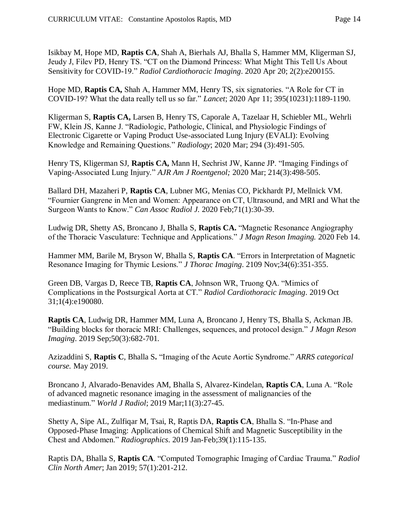Isikbay M, Hope MD, **Raptis CA**, Shah A, Bierhals AJ, Bhalla S, Hammer MM, Kligerman SJ, Jeudy J, Filev PD, Henry TS. "CT on the Diamond Princess: What Might This Tell Us About Sensitivity for COVID-19." *Radiol Cardiothoracic Imaging*. 2020 Apr 20; 2(2):e200155.

Hope MD, **Raptis CA,** Shah A, Hammer MM, Henry TS, six signatories. "A Role for CT in COVID-19? What the data really tell us so far." *Lancet*; 2020 Apr 11; 395(10231):1189-1190.

Kligerman S, **Raptis CA,** Larsen B, Henry TS, Caporale A, Tazelaar H, Schiebler ML, Wehrli FW, Klein JS, Kanne J. "Radiologic, Pathologic, Clinical, and Physiologic Findings of Electronic Cigarette or Vaping Product Use-associated Lung Injury (EVALI): Evolving Knowledge and Remaining Questions." *Radiology*; 2020 Mar; 294 (3):491-505.

Henry TS, Kligerman SJ, **Raptis CA,** Mann H, Sechrist JW, Kanne JP. "Imaging Findings of Vaping-Associated Lung Injury." *AJR Am J Roentgenol;* 2020 Mar; 214(3):498-505.

Ballard DH, Mazaheri P, **Raptis CA**, Lubner MG, Menias CO, Pickhardt PJ, Mellnick VM. "Fournier Gangrene in Men and Women: Appearance on CT, Ultrasound, and MRI and What the Surgeon Wants to Know." *Can Assoc Radiol J.* 2020 Feb;71(1):30-39.

Ludwig DR, Shetty AS, Broncano J, Bhalla S, **Raptis CA.** "Magnetic Resonance Angiography of the Thoracic Vasculature: Technique and Applications." *J Magn Reson Imaging.* 2020 Feb 14.

Hammer MM, Barile M, Bryson W, Bhalla S, **Raptis CA**. "Errors in Interpretation of Magnetic Resonance Imaging for Thymic Lesions." *J Thorac Imaging*. 2109 Nov;34(6):351-355.

Green DB, Vargas D, Reece TB, **Raptis CA**, Johnson WR, Truong QA. "Mimics of Complications in the Postsurgical Aorta at CT." *Radiol Cardiothoracic Imaging*. 2019 Oct 31;1(4):e190080.

**Raptis CA**, Ludwig DR, Hammer MM, Luna A, Broncano J, Henry TS, Bhalla S, Ackman JB. "Building blocks for thoracic MRI: Challenges, sequences, and protocol design." *J Magn Reson Imaging*. 2019 Sep;50(3):682-701.

Azizaddini S, **Raptis C**, Bhalla S**.** "Imaging of the Acute Aortic Syndrome." *ARRS categorical course.* May 2019.

Broncano J, Alvarado-Benavides AM, Bhalla S, Alvarez-Kindelan, **Raptis CA**, Luna A. "Role of advanced magnetic resonance imaging in the assessment of malignancies of the mediastinum." *World J Radiol*; 2019 Mar;11(3):27-45.

Shetty A, Sipe AL, Zulfiqar M, Tsai, R, Raptis DA, **Raptis CA**, Bhalla S. "In-Phase and Opposed-Phase Imaging: Applications of Chemical Shift and Magnetic Susceptibility in the Chest and Abdomen." *Radiographics*. 2019 Jan-Feb;39(1):115-135.

Raptis DA, Bhalla S, **Raptis CA**. "Computed Tomographic Imaging of Cardiac Trauma." *Radiol Clin North Amer*; Jan 2019; 57(1):201-212.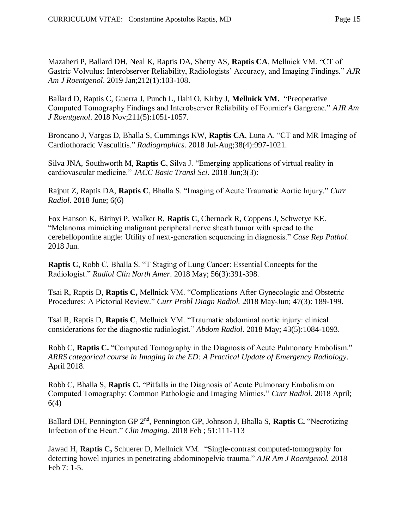Mazaheri P, Ballard DH, Neal K, Raptis DA, Shetty AS, **Raptis CA**, Mellnick VM. "CT of Gastric Volvulus: Interobserver Reliability, Radiologists' Accuracy, and Imaging Findings." *AJR Am J Roentgenol*. 2019 Jan;212(1):103-108.

Ballard D, Raptis C, Guerra J, Punch L, Ilahi O, Kirby J, **Mellnick VM.** "Preoperative Computed Tomography Findings and Interobserver Reliability of Fournier's Gangrene." *AJR Am J Roentgenol*. 2018 Nov;211(5):1051-1057.

Broncano J, Vargas D, Bhalla S, Cummings KW, **Raptis CA**, Luna A. "CT and MR Imaging of Cardiothoracic Vasculitis." *Radiographics*. 2018 Jul-Aug;38(4):997-1021.

Silva JNA, Southworth M, **Raptis C**, Silva J. "Emerging applications of virtual reality in cardiovascular medicine." *JACC Basic Transl Sci*. 2018 Jun;3(3):

Rajput Z, Raptis DA, **Raptis C**, Bhalla S. "Imaging of Acute Traumatic Aortic Injury." *Curr Radiol*. 2018 June; 6(6)

Fox Hanson K, Birinyi P, Walker R, **Raptis C**, Chernock R, Coppens J, Schwetye KE. "Melanoma mimicking malignant peripheral nerve sheath tumor with spread to the cerebellopontine angle: Utility of next-generation sequencing in diagnosis." *Case Rep Pathol*. 2018 Jun.

**Raptis C**, Robb C, Bhalla S. "T Staging of Lung Cancer: Essential Concepts for the Radiologist." *Radiol Clin North Amer*. 2018 May; 56(3):391-398.

Tsai R, Raptis D, **Raptis C,** Mellnick VM. "Complications After Gynecologic and Obstetric Procedures: A Pictorial Review." *Curr Probl Diagn Radiol.* 2018 May-Jun; 47(3): 189-199.

Tsai R, Raptis D, **Raptis C**, Mellnick VM. "Traumatic abdominal aortic injury: clinical considerations for the diagnostic radiologist." *Abdom Radiol*. 2018 May; 43(5):1084-1093.

Robb C, **Raptis C.** "Computed Tomography in the Diagnosis of Acute Pulmonary Embolism." *ARRS categorical course in Imaging in the ED: A Practical Update of Emergency Radiology.*  April 2018.

Robb C, Bhalla S, **Raptis C.** "Pitfalls in the Diagnosis of Acute Pulmonary Embolism on Computed Tomography: Common Pathologic and Imaging Mimics." *Curr Radiol.* 2018 April; 6(4)

Ballard DH, Pennington GP 2nd, Pennington GP, Johnson J, Bhalla S, **Raptis C.** "Necrotizing Infection of the Heart." *Clin Imaging.* 2018 Feb ; 51:111-113

Jawad H, **Raptis C,** Schuerer D, Mellnick VM. "Single-contrast computed-tomography for detecting bowel injuries in penetrating abdominopelvic trauma." *AJR Am J Roentgenol.* 2018 Feb 7: 1-5.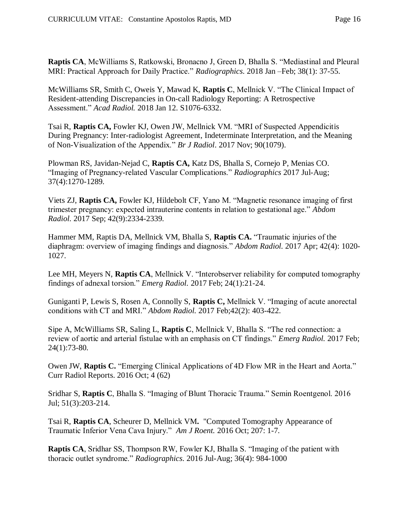**Raptis CA**, McWilliams S, Ratkowski, Bronacno J, Green D, Bhalla S. "Mediastinal and Pleural MRI: Practical Approach for Daily Practice." *Radiographics*. 2018 Jan –Feb; 38(1): 37-55.

McWilliams SR, Smith C, Oweis Y, Mawad K, **Raptis C**, Mellnick V. "The Clinical Impact of Resident-attending Discrepancies in On-call Radiology Reporting: A Retrospective Assessment." *Acad Radiol.* 2018 Jan 12. S1076-6332.

Tsai R, **Raptis CA,** Fowler KJ, Owen JW, Mellnick VM. "MRI of Suspected Appendicitis During Pregnancy: Inter-radiologist Agreement, Indeterminate Interpretation, and the Meaning of Non-Visualization of the Appendix." *Br J Radiol*. 2017 Nov; 90(1079).

Plowman RS, Javidan-Nejad C, **Raptis CA,** Katz DS, Bhalla S, Cornejo P, Menias CO. "Imaging of Pregnancy-related Vascular Complications." *Radiographics* 2017 Jul-Aug; 37(4):1270-1289.

Viets ZJ, **Raptis CA,** Fowler KJ, Hildebolt CF, Yano M. "Magnetic resonance imaging of first trimester pregnancy: expected intrauterine contents in relation to gestational age." *Abdom Radiol.* 2017 Sep; 42(9):2334-2339.

Hammer MM, Raptis DA, Mellnick VM, Bhalla S, **Raptis CA.** "Traumatic injuries of the diaphragm: overview of imaging findings and diagnosis." *Abdom Radiol.* 2017 Apr; 42(4): 1020- 1027.

Lee MH, Meyers N, **Raptis CA**, Mellnick V. "Interobserver reliability for computed tomography findings of adnexal torsion." *Emerg Radiol.* 2017 Feb; 24(1):21-24.

Guniganti P, Lewis S, Rosen A, Connolly S, **Raptis C,** Mellnick V. "Imaging of acute anorectal conditions with CT and MRI." *Abdom Radiol.* 2017 Feb;42(2): 403-422.

Sipe A, McWilliams SR, Saling L, **Raptis C**, Mellnick V, Bhalla S. "The red connection: a review of aortic and arterial fistulae with an emphasis on CT findings." *Emerg Radiol.* 2017 Feb; 24(1):73-80.

Owen JW, **Raptis C.** "Emerging Clinical Applications of 4D Flow MR in the Heart and Aorta." Curr Radiol Reports. 2016 Oct; 4 (62)

Sridhar S, **Raptis C**, Bhalla S. "Imaging of Blunt Thoracic Trauma." Semin Roentgenol. 2016 Jul; 51(3):203-214.

Tsai R, **Raptis CA**, Scheurer D, Mellnick VM**.** "Computed Tomography Appearance of Traumatic Inferior Vena Cava Injury." *Am J Roent.* 2016 Oct; 207: 1-7.

**Raptis CA**, Sridhar SS, Thompson RW, Fowler KJ, Bhalla S. "Imaging of the patient with thoracic outlet syndrome." *Radiographics*. 2016 Jul-Aug; 36(4): 984-1000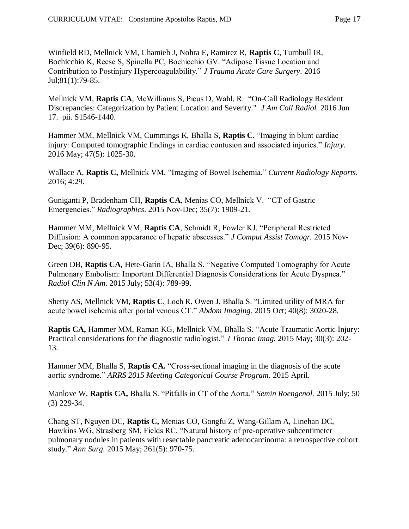Winfield RD, Mellnick VM, Chamieh J, Nohra E, Ramirez R, **Raptis C**, Turnbull IR, Bochicchio K, Reese S, Spinella PC, Bochicchio GV. "Adipose Tissue Location and Contribution to Postinjury Hypercoagulability." *J Trauma Acute Care Surgery*. 2016 Jul;81(1):79-85.

Mellnick VM, **Raptis CA**, McWilliams S, Picus D, Wahl, R. "On-Call Radiology Resident Discrepancies: Categorization by Patient Location and Severity." *J Am Coll Radiol.* 2016 Jun 17. pii. S1546-1440.

Hammer MM, Mellnick VM, Cummings K, Bhalla S, **Raptis C**. "Imaging in blunt cardiac injury: Computed tomographic findings in cardiac contusion and associated injuries." *Injury.*  2016 May; 47(5): 1025-30.

Wallace A, **Raptis C,** Mellnick VM. "Imaging of Bowel Ischemia." *Current Radiology Reports*. 2016; 4:29.

Guniganti P, Bradenham CH, **Raptis CA**, Menias CO, Mellnick V. "CT of Gastric Emergencies." *Radiographics*. 2015 Nov-Dec; 35(7): 1909-21.

Hammer MM, Mellnick VM, **Raptis CA**, Schmidt R, Fowler KJ. "Peripheral Restricted Diffusion: A common appearance of hepatic abscesses." *J Comput Assist Tomogr.* 2015 Nov-Dec; 39(6): 890-95.

Green DB, **Raptis CA,** Hete-Garin IA, Bhalla S. "Negative Computed Tomography for Acute Pulmonary Embolism: Important Differential Diagnosis Considerations for Acute Dyspnea." *Radiol Clin N Am*. 2015 July; 53(4): 789-99.

Shetty AS, Mellnick VM, **Raptis C**, Loch R, Owen J, Bhalla S. "Limited utility of MRA for acute bowel ischemia after portal venous CT." *Abdom Imaging.* 2015 Oct; 40(8): 3020-28.

**Raptis CA,** Hammer MM, Raman KG, Mellnick VM, Bhalla S. "Acute Traumatic Aortic Injury: Practical considerations for the diagnostic radiologist." *J Thorac Imag.* 2015 May; 30(3): 202- 13.

Hammer MM, Bhalla S, **Raptis CA.** "Cross-sectional imaging in the diagnosis of the acute aortic syndrome." *ARRS 2015 Meeting Categorical Course Program*. 2015 April.

Manlove W, **Raptis CA,** Bhalla S. "Pitfalls in CT of the Aorta." *Semin Roengenol.* 2015 July; 50 (3) 229-34.

Chang ST, Nguyen DC, **Raptis C,** Menias CO, Gongfu Z, Wang-Gillam A, Linehan DC, Hawkins WG, Strasberg SM, Fields RC. "Natural history of pre-operative subcentimeter pulmonary nodules in patients with resectable pancreatic adenocarcinoma: a retrospective cohort study." *Ann Surg.* 2015 May; 261(5): 970-75.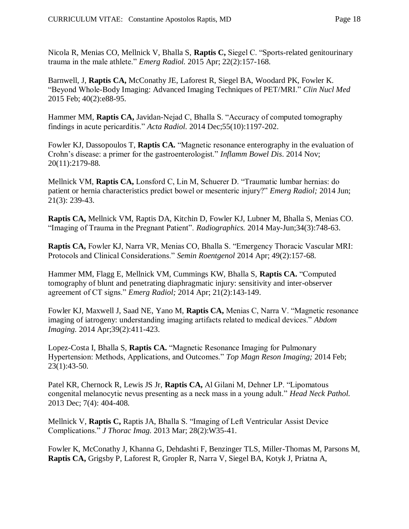Nicola R, Menias CO, Mellnick V, Bhalla S, **Raptis C,** Siegel C. "Sports-related genitourinary trauma in the male athlete." *Emerg Radiol.* 2015 Apr; 22(2):157-168.

Barnwell, J, **Raptis CA,** McConathy JE, Laforest R, Siegel BA, Woodard PK, Fowler K. "Beyond Whole-Body Imaging: Advanced Imaging Techniques of PET/MRI." *Clin Nucl Med* 2015 Feb; 40(2):e88-95.

Hammer MM, **Raptis CA,** Javidan-Nejad C, Bhalla S. "Accuracy of computed tomography findings in acute pericarditis." *Acta Radiol.* 2014 Dec;55(10):1197-202.

Fowler KJ, Dassopoulos T, **Raptis CA.** "Magnetic resonance enterography in the evaluation of Crohn's disease: a primer for the gastroenterologist." *Inflamm Bowel Dis*. 2014 Nov; 20(11):2179-88.

Mellnick VM, **Raptis CA,** Lonsford C, Lin M, Schuerer D. "Traumatic lumbar hernias: do patient or hernia characteristics predict bowel or mesenteric injury?" *Emerg Radiol;* 2014 Jun; 21(3): 239-43.

**Raptis CA,** Mellnick VM, Raptis DA, Kitchin D, Fowler KJ, Lubner M, Bhalla S, Menias CO. "Imaging of Trauma in the Pregnant Patient". *Radiographics.* 2014 May-Jun;34(3):748-63.

**Raptis CA,** Fowler KJ, Narra VR, Menias CO, Bhalla S. "Emergency Thoracic Vascular MRI: Protocols and Clinical Considerations." *Semin Roentgenol* 2014 Apr; 49(2):157-68.

Hammer MM, Flagg E, Mellnick VM, Cummings KW, Bhalla S, **Raptis CA.** "Computed tomography of blunt and penetrating diaphragmatic injury: sensitivity and inter-observer agreement of CT signs." *Emerg Radiol;* 2014 Apr; 21(2):143-149.

Fowler KJ, Maxwell J, Saad NE, Yano M, **Raptis CA,** Menias C, Narra V. "Magnetic resonance imaging of iatrogeny: understanding imaging artifacts related to medical devices." *Abdom Imaging.* 2014 Apr;39(2):411-423.

Lopez-Costa I, Bhalla S, **Raptis CA.** "Magnetic Resonance Imaging for Pulmonary Hypertension: Methods, Applications, and Outcomes." *Top Magn Reson Imaging;* 2014 Feb; 23(1):43-50.

Patel KR, Chernock R, Lewis JS Jr, **Raptis CA,** Al Gilani M, Dehner LP. "Lipomatous congenital melanocytic nevus presenting as a neck mass in a young adult." *Head Neck Pathol.*  2013 Dec; 7(4): 404-408.

Mellnick V, **Raptis C,** Raptis JA, Bhalla S. "Imaging of Left Ventricular Assist Device Complications." *J Thorac Imag.* 2013 Mar; 28(2):W35-41.

Fowler K, McConathy J, Khanna G, Dehdashti F, Benzinger TLS, Miller-Thomas M, Parsons M, **Raptis CA,** Grigsby P, Laforest R, Gropler R, Narra V, Siegel BA, Kotyk J, Priatna A,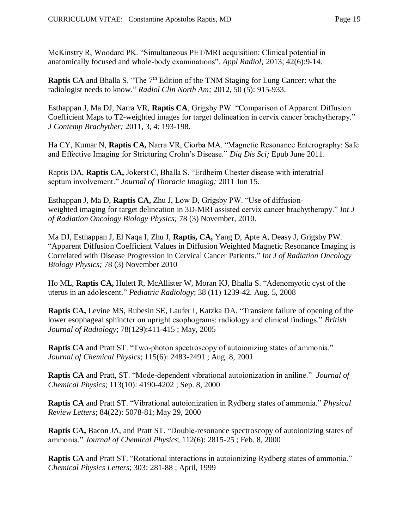McKinstry R, Woodard PK. "Simultaneous PET/MRI acquisition: Clinical potential in anatomically focused and whole-body examinations". *Appl Radiol;* 2013; 42(6):9-14.

**Raptis CA** and Bhalla S. "The 7<sup>th</sup> Edition of the TNM Staging for Lung Cancer: what the radiologist needs to know." *Radiol Clin North Am;* 2012, 50 (5): 915-933.

Esthappan J, Ma DJ, Narra VR, **Raptis CA**, Grigsby PW. "Comparison of Apparent Diffusion Coefficient Maps to T2-weighted images for target delineation in cervix cancer brachytherapy." *J Contemp Brachyther;* 2011, 3, 4: 193-198.

Ha CY, Kumar N, **Raptis CA,** Narra VR, Ciorba MA. "Magnetic Resonance Enterography: Safe and Effective Imaging for Stricturing Crohn's Disease." *Dig Dis Sci;* Epub June 2011.

Raptis DA, **Raptis CA,** Jokerst C, Bhalla S. "Erdheim Chester disease with interatrial septum involvement." *Journal of Thoracic Imaging;* 2011 Jun 15.

Esthappan J, Ma D, **Raptis CA,** Zhu J, Low D, Grigsby PW. "Use of diffusionweighted imaging for target delineation in 3D-MRI assisted cervix cancer brachytherapy." *Int J of Radiation Oncology Biology Physics;* 78 (3) November, 2010.

Ma DJ, Esthappan J, El Naqa I, Zhu J, **Raptis, CA,** Yang D, Apte A, Deasy J, Grigsby PW. "Apparent Diffusion Coefficient Values in Diffusion Weighted Magnetic Resonance Imaging is Correlated with Disease Progression in Cervical Cancer Patients." *Int J of Radiation Oncology Biology Physics;* 78 (3) November 2010

Ho ML, **Raptis CA,** Hulett R, McAllister W, Moran KJ, Bhalla S. "Adenomyotic cyst of the uterus in an adolescent." *Pediatric Radiology*; 38 (11) 1239-42. Aug. 5, 2008

**Raptis CA,** Levine MS, Rubesin SE, Laufer I, Katzka DA. "Transient failure of opening of the lower esophageal sphincter on upright esophograms: radiology and clinical findings." *British Journal of Radiology*; 78(129):411-415 ; May, 2005

**Raptis CA** and Pratt ST. "Two-photon spectroscopy of autoionizing states of ammonia." *Journal of Chemical Physics*; 115(6): 2483-2491 ; Aug. 8, 2001

**Raptis CA** and Pratt, ST. "Mode-dependent vibrational autoionization in aniline." *Journal of Chemical Physics*; 113(10): 4190-4202 ; Sep. 8, 2000

**Raptis CA** and Pratt ST. "Vibrational autoionization in Rydberg states of ammonia." *Physical Review Letters*; 84(22): 5078-81; May 29, 2000

**Raptis CA,** Bacon JA, and Pratt ST. "Double-resonance spectroscopy of autoionizing states of ammonia." *Journal of Chemical Physics*; 112(6): 2815-25 ; Feb. 8, 2000

**Raptis CA** and Pratt ST. "Rotational interactions in autoionizing Rydberg states of ammonia." *Chemical Physics Letters*; 303: 281-88 ; April, 1999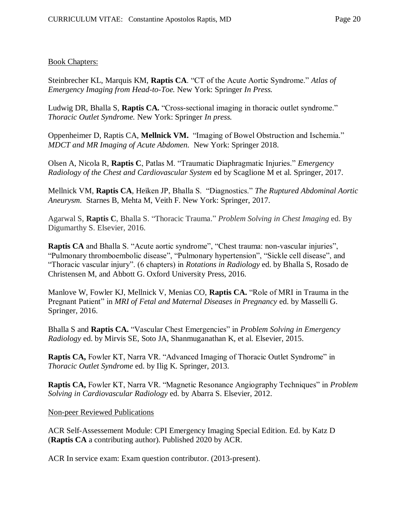#### Book Chapters:

Steinbrecher KL, Marquis KM, **Raptis CA**. "CT of the Acute Aortic Syndrome." *Atlas of Emergency Imaging from Head-to-Toe.* New York: Springer *In Press.*

Ludwig DR, Bhalla S, **Raptis CA.** "Cross-sectional imaging in thoracic outlet syndrome." *Thoracic Outlet Syndrome.* New York: Springer *In press.*

Oppenheimer D, Raptis CA, **Mellnick VM.** "Imaging of Bowel Obstruction and Ischemia." *MDCT and MR Imaging of Acute Abdomen.* New York: Springer 2018.

Olsen A, Nicola R, **Raptis C**, Patlas M. "Traumatic Diaphragmatic Injuries." *Emergency Radiology of the Chest and Cardiovascular System* ed by Scaglione M et al. Springer, 2017.

Mellnick VM, **Raptis CA**, Heiken JP, Bhalla S. "Diagnostics." *The Ruptured Abdominal Aortic Aneurysm.* Starnes B, Mehta M, Veith F. New York: Springer, 2017.

Agarwal S, **Raptis C**, Bhalla S. "Thoracic Trauma." *Problem Solving in Chest Imaging* ed. By Digumarthy S. Elsevier, 2016.

**Raptis CA** and Bhalla S. "Acute aortic syndrome", "Chest trauma: non-vascular injuries", "Pulmonary thromboembolic disease", "Pulmonary hypertension", "Sickle cell disease", and "Thoracic vascular injury". (6 chapters) in *Rotations in Radiology* ed. by Bhalla S, Rosado de Christensen M, and Abbott G. Oxford University Press, 2016.

Manlove W, Fowler KJ, Mellnick V, Menias CO, **Raptis CA.** "Role of MRI in Trauma in the Pregnant Patient" in *MRI of Fetal and Maternal Diseases in Pregnancy* ed. by Masselli G. Springer, 2016.

Bhalla S and **Raptis CA.** "Vascular Chest Emergencies" in *Problem Solving in Emergency Radiology* ed. by Mirvis SE, Soto JA, Shanmuganathan K, et al. Elsevier, 2015.

**Raptis CA,** Fowler KT, Narra VR. "Advanced Imaging of Thoracic Outlet Syndrome" in *Thoracic Outlet Syndrome* ed. by Ilig K. Springer, 2013.

**Raptis CA,** Fowler KT, Narra VR. "Magnetic Resonance Angiography Techniques" in *Problem Solving in Cardiovascular Radiology* ed. by Abarra S. Elsevier, 2012.

Non-peer Reviewed Publications

ACR Self-Assessement Module: CPI Emergency Imaging Special Edition. Ed. by Katz D (**Raptis CA** a contributing author). Published 2020 by ACR.

ACR In service exam: Exam question contributor. (2013-present).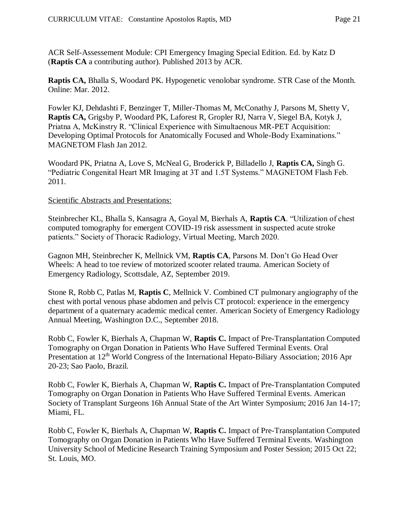ACR Self-Assessement Module: CPI Emergency Imaging Special Edition. Ed. by Katz D (**Raptis CA** a contributing author). Published 2013 by ACR.

**Raptis CA,** Bhalla S, Woodard PK. Hypogenetic venolobar syndrome. STR Case of the Month. Online: Mar. 2012.

Fowler KJ, Dehdashti F, Benzinger T, Miller-Thomas M, McConathy J, Parsons M, Shetty V, **Raptis CA,** Grigsby P, Woodard PK, Laforest R, Gropler RJ, Narra V, Siegel BA, Kotyk J, Priatna A, McKinstry R. "Clinical Experience with Simultaenous MR-PET Acquisition: Developing Optimal Protocols for Anatomically Focused and Whole-Body Examinations." MAGNETOM Flash Jan 2012.

Woodard PK, Priatna A, Love S, McNeal G, Broderick P, Billadello J, **Raptis CA,** Singh G. "Pediatric Congenital Heart MR Imaging at 3T and 1.5T Systems." MAGNETOM Flash Feb. 2011.

#### Scientific Abstracts and Presentations:

Steinbrecher KL, Bhalla S, Kansagra A, Goyal M, Bierhals A, **Raptis CA**. "Utilization of chest computed tomography for emergent COVID-19 risk assessment in suspected acute stroke patients." Society of Thoracic Radiology, Virtual Meeting, March 2020.

Gagnon MH, Steinbrecher K, Mellnick VM, **Raptis CA**, Parsons M. Don't Go Head Over Wheels: A head to toe review of motorized scooter related trauma. American Society of Emergency Radiology, Scottsdale, AZ, September 2019.

Stone R, Robb C, Patlas M, **Raptis C**, Mellnick V. Combined CT pulmonary angiography of the chest with portal venous phase abdomen and pelvis CT protocol: experience in the emergency department of a quaternary academic medical center. American Society of Emergency Radiology Annual Meeting, Washington D.C., September 2018.

Robb C, Fowler K, Bierhals A, Chapman W, **Raptis C.** Impact of Pre-Transplantation Computed Tomography on Organ Donation in Patients Who Have Suffered Terminal Events. Oral Presentation at 12<sup>th</sup> World Congress of the International Hepato-Biliary Association; 2016 Apr 20-23; Sao Paolo, Brazil.

Robb C, Fowler K, Bierhals A, Chapman W, **Raptis C.** Impact of Pre-Transplantation Computed Tomography on Organ Donation in Patients Who Have Suffered Terminal Events. American Society of Transplant Surgeons 16h Annual State of the Art Winter Symposium; 2016 Jan 14-17; Miami, FL.

Robb C, Fowler K, Bierhals A, Chapman W, **Raptis C.** Impact of Pre-Transplantation Computed Tomography on Organ Donation in Patients Who Have Suffered Terminal Events. Washington University School of Medicine Research Training Symposium and Poster Session; 2015 Oct 22; St. Louis, MO.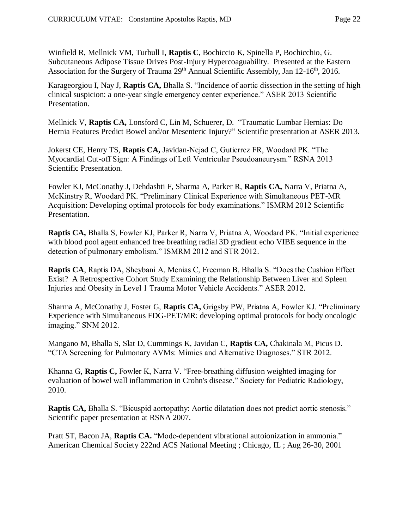Winfield R, Mellnick VM, Turbull I, **Raptis C**, Bochiccio K, Spinella P, Bochicchio, G. Subcutaneous Adipose Tissue Drives Post-Injury Hypercoaguability. Presented at the Eastern Association for the Surgery of Trauma 29<sup>th</sup> Annual Scientific Assembly, Jan 12-16<sup>th</sup>, 2016.

Karageorgiou I, Nay J, **Raptis CA,** Bhalla S. "Incidence of aortic dissection in the setting of high clinical suspicion: a one-year single emergency center experience." ASER 2013 Scientific Presentation.

Mellnick V, **Raptis CA,** Lonsford C, Lin M, Schuerer, D. "Traumatic Lumbar Hernias: Do Hernia Features Predict Bowel and/or Mesenteric Injury?" Scientific presentation at ASER 2013.

Jokerst CE, Henry TS, **Raptis CA,** Javidan-Nejad C, Gutierrez FR, Woodard PK. "The Myocardial Cut-off Sign: A Findings of Left Ventricular Pseudoaneurysm." RSNA 2013 Scientific Presentation.

Fowler KJ, McConathy J, Dehdashti F, Sharma A, Parker R, **Raptis CA,** Narra V, Priatna A, McKinstry R, Woodard PK. "Preliminary Clinical Experience with Simultaneous PET-MR Acquisition: Developing optimal protocols for body examinations." ISMRM 2012 Scientific Presentation.

**Raptis CA,** Bhalla S, Fowler KJ, Parker R, Narra V, Priatna A, Woodard PK. "Initial experience with blood pool agent enhanced free breathing radial 3D gradient echo VIBE sequence in the detection of pulmonary embolism." ISMRM 2012 and STR 2012.

**Raptis CA**, Raptis DA, Sheybani A, Menias C, Freeman B, Bhalla S. "Does the Cushion Effect Exist? A Retrospective Cohort Study Examining the Relationship Between Liver and Spleen Injuries and Obesity in Level 1 Trauma Motor Vehicle Accidents." ASER 2012.

Sharma A, McConathy J, Foster G, **Raptis CA,** Grigsby PW, Priatna A, Fowler KJ. "Preliminary Experience with Simultaneous FDG-PET/MR: developing optimal protocols for body oncologic imaging." SNM 2012.

Mangano M, Bhalla S, Slat D, Cummings K, Javidan C, **Raptis CA,** Chakinala M, Picus D. "CTA Screening for Pulmonary AVMs: Mimics and Alternative Diagnoses." STR 2012.

Khanna G, **Raptis C,** Fowler K, Narra V. "Free-breathing diffusion weighted imaging for evaluation of bowel wall inflammation in Crohn's disease." Society for Pediatric Radiology, 2010.

**Raptis CA,** Bhalla S. "Bicuspid aortopathy: Aortic dilatation does not predict aortic stenosis." Scientific paper presentation at RSNA 2007.

Pratt ST, Bacon JA, **Raptis CA.** "Mode-dependent vibrational autoionization in ammonia." American Chemical Society 222nd ACS National Meeting ; Chicago, IL ; Aug 26-30, 2001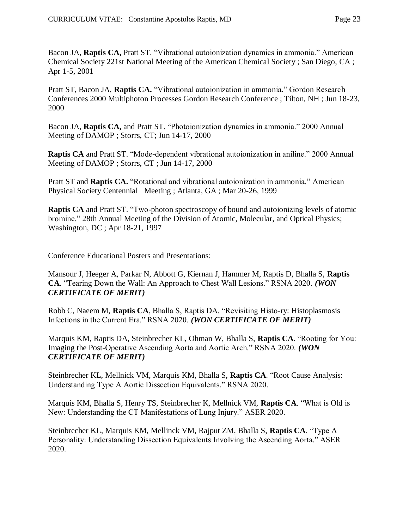Bacon JA, **Raptis CA,** Pratt ST. "Vibrational autoionization dynamics in ammonia." American Chemical Society 221st National Meeting of the American Chemical Society ; San Diego, CA ; Apr 1-5, 2001

Pratt ST, Bacon JA, **Raptis CA.** "Vibrational autoionization in ammonia." Gordon Research Conferences 2000 Multiphoton Processes Gordon Research Conference ; Tilton, NH ; Jun 18-23, 2000

Bacon JA, **Raptis CA,** and Pratt ST. "Photoionization dynamics in ammonia." 2000 Annual Meeting of DAMOP ; Storrs, CT; Jun 14-17, 2000

**Raptis CA** and Pratt ST. "Mode-dependent vibrational autoionization in aniline." 2000 Annual Meeting of DAMOP ; Storrs, CT ; Jun 14-17, 2000

Pratt ST and **Raptis CA.** "Rotational and vibrational autoionization in ammonia." American Physical Society Centennial Meeting ; Atlanta, GA ; Mar 20-26, 1999

**Raptis CA** and Pratt ST. "Two-photon spectroscopy of bound and autoionizing levels of atomic bromine." 28th Annual Meeting of the Division of Atomic, Molecular, and Optical Physics; Washington, DC ; Apr 18-21, 1997

### Conference Educational Posters and Presentations:

Mansour J, Heeger A, Parkar N, Abbott G, Kiernan J, Hammer M, Raptis D, Bhalla S, **Raptis CA**. "Tearing Down the Wall: An Approach to Chest Wall Lesions." RSNA 2020. *(WON CERTIFICATE OF MERIT)*

Robb C, Naeem M, **Raptis CA**, Bhalla S, Raptis DA. "Revisiting Histo-ry: Histoplasmosis Infections in the Current Era." RSNA 2020. *(WON CERTIFICATE OF MERIT)*

Marquis KM, Raptis DA, Steinbrecher KL, Ohman W, Bhalla S, **Raptis CA**. "Rooting for You: Imaging the Post-Operative Ascending Aorta and Aortic Arch." RSNA 2020. *(WON CERTIFICATE OF MERIT)*

Steinbrecher KL, Mellnick VM, Marquis KM, Bhalla S, **Raptis CA**. "Root Cause Analysis: Understanding Type A Aortic Dissection Equivalents." RSNA 2020.

Marquis KM, Bhalla S, Henry TS, Steinbrecher K, Mellnick VM, **Raptis CA**. "What is Old is New: Understanding the CT Manifestations of Lung Injury." ASER 2020.

Steinbrecher KL, Marquis KM, Mellinck VM, Rajput ZM, Bhalla S, **Raptis CA**. "Type A Personality: Understanding Dissection Equivalents Involving the Ascending Aorta." ASER 2020.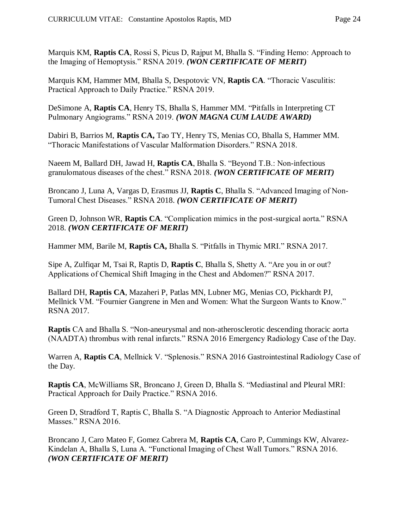Marquis KM, **Raptis CA**, Rossi S, Picus D, Rajput M, Bhalla S. "Finding Hemo: Approach to the Imaging of Hemoptysis." RSNA 2019. *(WON CERTIFICATE OF MERIT)*

Marquis KM, Hammer MM, Bhalla S, Despotovic VN, **Raptis CA**. "Thoracic Vasculitis: Practical Approach to Daily Practice." RSNA 2019.

DeSimone A, **Raptis CA**, Henry TS, Bhalla S, Hammer MM. "Pitfalls in Interpreting CT Pulmonary Angiograms." RSNA 2019. *(WON MAGNA CUM LAUDE AWARD)*

Dabiri B, Barrios M, **Raptis CA,** Tao TY, Henry TS, Menias CO, Bhalla S, Hammer MM. "Thoracic Manifestations of Vascular Malformation Disorders." RSNA 2018.

Naeem M, Ballard DH, Jawad H, **Raptis CA**, Bhalla S. "Beyond T.B.: Non-infectious granulomatous diseases of the chest." RSNA 2018. *(WON CERTIFICATE OF MERIT)*

Broncano J, Luna A, Vargas D, Erasmus JJ, **Raptis C**, Bhalla S. "Advanced Imaging of Non-Tumoral Chest Diseases." RSNA 2018. *(WON CERTIFICATE OF MERIT)*

Green D, Johnson WR, **Raptis CA**. "Complication mimics in the post-surgical aorta." RSNA 2018. *(WON CERTIFICATE OF MERIT)*

Hammer MM, Barile M, **Raptis CA,** Bhalla S. "Pitfalls in Thymic MRI." RSNA 2017.

Sipe A, Zulfiqar M, Tsai R, Raptis D, **Raptis C**, Bhalla S, Shetty A. "Are you in or out? Applications of Chemical Shift Imaging in the Chest and Abdomen?" RSNA 2017.

Ballard DH, **Raptis CA**, Mazaheri P, Patlas MN, Lubner MG, Menias CO, Pickhardt PJ, Mellnick VM. "Fournier Gangrene in Men and Women: What the Surgeon Wants to Know." RSNA 2017.

**Raptis** CA and Bhalla S. "Non-aneurysmal and non-atherosclerotic descending thoracic aorta (NAADTA) thrombus with renal infarcts." RSNA 2016 Emergency Radiology Case of the Day.

Warren A, **Raptis CA**, Mellnick V. "Splenosis." RSNA 2016 Gastrointestinal Radiology Case of the Day.

**Raptis CA**, McWilliams SR, Broncano J, Green D, Bhalla S. "Mediastinal and Pleural MRI: Practical Approach for Daily Practice." RSNA 2016.

Green D, Stradford T, Raptis C, Bhalla S. "A Diagnostic Approach to Anterior Mediastinal Masses." RSNA 2016.

Broncano J, Caro Mateo F, Gomez Cabrera M, **Raptis CA**, Caro P, Cummings KW, Alvarez-Kindelan A, Bhalla S, Luna A. "Functional Imaging of Chest Wall Tumors." RSNA 2016. *(WON CERTIFICATE OF MERIT)*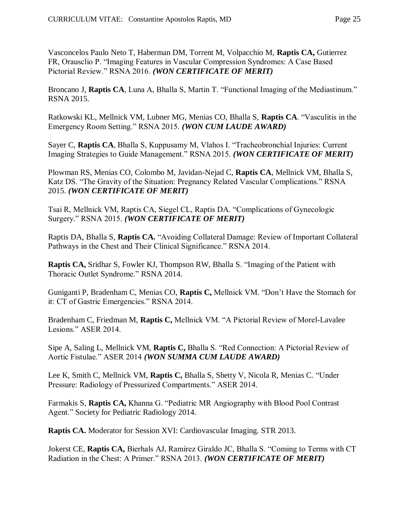Vasconcelos Paulo Neto T, Haberman DM, Torrent M, Volpacchio M, **Raptis CA,** Gutierrez FR, Orausclio P. "Imaging Features in Vascular Compression Syndromes: A Case Based Pictorial Review." RSNA 2016. *(WON CERTIFICATE OF MERIT)*

Broncano J, **Raptis CA**, Luna A, Bhalla S, Martin T. "Functional Imaging of the Mediastinum." RSNA 2015.

Ratkowski KL, Mellnick VM, Lubner MG, Menias CO, Bhalla S, **Raptis CA**. "Vasculitis in the Emergency Room Setting." RSNA 2015. *(WON CUM LAUDE AWARD)*

Sayer C, **Raptis CA**, Bhalla S, Kuppusamy M, Vlahos I. "Tracheobronchial Injuries: Current Imaging Strategies to Guide Management." RSNA 2015. *(WON CERTIFICATE OF MERIT)*

Plowman RS, Menias CO, Colombo M, Javidan-Nejad C, **Raptis CA**, Mellnick VM, Bhalla S, Katz DS. "The Gravity of the Situation: Pregnancy Related Vascular Complications." RSNA 2015. *(WON CERTIFICATE OF MERIT)*

Tsai R, Mellnick VM, Raptis CA, Siegel CL, Raptis DA. "Complications of Gynecologic Surgery." RSNA 2015. *(WON CERTIFICATE OF MERIT)*

Raptis DA, Bhalla S, **Raptis CA.** "Avoiding Collateral Damage: Review of Important Collateral Pathways in the Chest and Their Clinical Significance." RSNA 2014.

**Raptis CA,** Sridhar S, Fowler KJ, Thompson RW, Bhalla S. "Imaging of the Patient with Thoracic Outlet Syndrome." RSNA 2014.

Guniganti P, Bradenham C, Menias CO, **Raptis C,** Mellnick VM. "Don't Have the Stomach for it: CT of Gastric Emergencies." RSNA 2014.

Bradenham C, Friedman M, **Raptis C,** Mellnick VM. "A Pictorial Review of Morel-Lavalee Lesions." ASER 2014.

Sipe A, Saling L, Mellnick VM, **Raptis C,** Bhalla S. "Red Connection: A Pictorial Review of Aortic Fistulae." ASER 2014 *(WON SUMMA CUM LAUDE AWARD)*

Lee K, Smith C, Mellnick VM, **Raptis C,** Bhalla S, Shetty V, Nicola R, Menias C. "Under Pressure: Radiology of Pressurized Compartments." ASER 2014.

Farmakis S, **Raptis CA,** Khanna G. "Pediatric MR Angiography with Blood Pool Contrast Agent." Society for Pediatric Radiology 2014.

**Raptis CA.** Moderator for Session XVI: Cardiovascular Imaging. STR 2013.

Jokerst CE, **Raptis CA,** Bierhals AJ, Ramirez Giraldo JC, Bhalla S. "Coming to Terms with CT Radiation in the Chest: A Primer." RSNA 2013. *(WON CERTIFICATE OF MERIT)*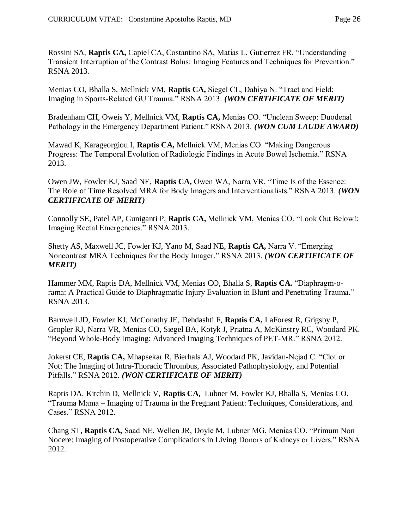Rossini SA, **Raptis CA,** Capiel CA, Costantino SA, Matias L, Gutierrez FR. "Understanding Transient Interruption of the Contrast Bolus: Imaging Features and Techniques for Prevention." RSNA 2013.

Menias CO, Bhalla S, Mellnick VM, **Raptis CA,** Siegel CL, Dahiya N. "Tract and Field: Imaging in Sports-Related GU Trauma." RSNA 2013. *(WON CERTIFICATE OF MERIT)*

Bradenham CH, Oweis Y, Mellnick VM, **Raptis CA,** Menias CO. "Unclean Sweep: Duodenal Pathology in the Emergency Department Patient." RSNA 2013. *(WON CUM LAUDE AWARD)*

Mawad K, Karageorgiou I, **Raptis CA,** Mellnick VM, Menias CO. "Making Dangerous Progress: The Temporal Evolution of Radiologic Findings in Acute Bowel Ischemia." RSNA 2013.

Owen JW, Fowler KJ, Saad NE, **Raptis CA,** Owen WA, Narra VR. "Time Is of the Essence: The Role of Time Resolved MRA for Body Imagers and Interventionalists." RSNA 2013. *(WON CERTIFICATE OF MERIT)*

Connolly SE, Patel AP, Guniganti P, **Raptis CA,** Mellnick VM, Menias CO. "Look Out Below!: Imaging Rectal Emergencies." RSNA 2013.

Shetty AS, Maxwell JC, Fowler KJ, Yano M, Saad NE, **Raptis CA,** Narra V. "Emerging Noncontrast MRA Techniques for the Body Imager." RSNA 2013. *(WON CERTIFICATE OF MERIT)*

Hammer MM, Raptis DA, Mellnick VM, Menias CO, Bhalla S, **Raptis CA.** "Diaphragm-orama: A Practical Guide to Diaphragmatic Injury Evaluation in Blunt and Penetrating Trauma." RSNA 2013.

Barnwell JD, Fowler KJ, McConathy JE, Dehdashti F, **Raptis CA,** LaForest R, Grigsby P, Gropler RJ, Narra VR, Menias CO, Siegel BA, Kotyk J, Priatna A, McKinstry RC, Woodard PK. "Beyond Whole-Body Imaging: Advanced Imaging Techniques of PET-MR." RSNA 2012.

Jokerst CE, **Raptis CA,** Mhapsekar R, Bierhals AJ, Woodard PK, Javidan-Nejad C. "Clot or Not: The Imaging of Intra-Thoracic Thrombus, Associated Pathophysiology, and Potential Pitfalls." RSNA 2012. *(WON CERTIFICATE OF MERIT)*

Raptis DA, Kitchin D, Mellnick V, **Raptis CA,** Lubner M, Fowler KJ, Bhalla S, Menias CO. "Trauma Mama – Imaging of Trauma in the Pregnant Patient: Techniques, Considerations, and Cases." RSNA 2012.

Chang ST, **Raptis CA,** Saad NE, Wellen JR, Doyle M, Lubner MG, Menias CO. "Primum Non Nocere: Imaging of Postoperative Complications in Living Donors of Kidneys or Livers." RSNA 2012.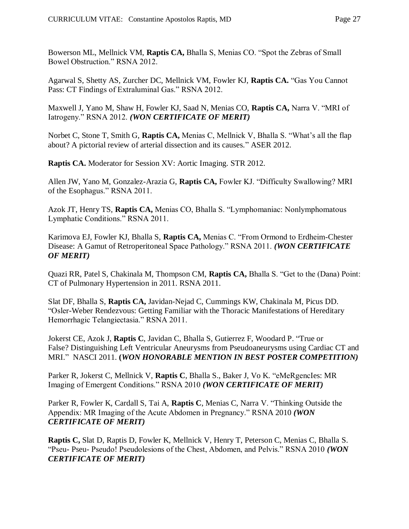Bowerson ML, Mellnick VM, **Raptis CA,** Bhalla S, Menias CO. "Spot the Zebras of Small Bowel Obstruction." RSNA 2012.

Agarwal S, Shetty AS, Zurcher DC, Mellnick VM, Fowler KJ, **Raptis CA.** "Gas You Cannot Pass: CT Findings of Extraluminal Gas." RSNA 2012.

Maxwell J, Yano M, Shaw H, Fowler KJ, Saad N, Menias CO, **Raptis CA,** Narra V. "MRI of Iatrogeny." RSNA 2012. *(WON CERTIFICATE OF MERIT)*

Norbet C, Stone T, Smith G, **Raptis CA,** Menias C, Mellnick V, Bhalla S. "What's all the flap about? A pictorial review of arterial dissection and its causes." ASER 2012.

**Raptis CA.** Moderator for Session XV: Aortic Imaging. STR 2012.

Allen JW, Yano M, Gonzalez-Arazia G, **Raptis CA,** Fowler KJ. "Difficulty Swallowing? MRI of the Esophagus." RSNA 2011.

Azok JT, Henry TS, **Raptis CA,** Menias CO, Bhalla S. "Lymphomaniac: Nonlymphomatous Lymphatic Conditions." RSNA 2011.

Karimova EJ, Fowler KJ, Bhalla S, **Raptis CA,** Menias C. "From Ormond to Erdheim-Chester Disease: A Gamut of Retroperitoneal Space Pathology." RSNA 2011. *(WON CERTIFICATE OF MERIT)*

Quazi RR, Patel S, Chakinala M, Thompson CM, **Raptis CA,** Bhalla S. "Get to the (Dana) Point: CT of Pulmonary Hypertension in 2011. RSNA 2011.

Slat DF, Bhalla S, **Raptis CA,** Javidan-Nejad C, Cummings KW, Chakinala M, Picus DD. "Osler-Weber Rendezvous: Getting Familiar with the Thoracic Manifestations of Hereditary Hemorrhagic Telangiectasia." RSNA 2011.

Jokerst CE, Azok J, **Raptis C**, Javidan C, Bhalla S, Gutierrez F, Woodard P. "True or False? Distinguishing Left Ventricular Aneurysms from Pseudoaneurysms using Cardiac CT and MRI." NASCI 2011. **(***WON HONORABLE MENTION IN BEST POSTER COMPETITION)*

Parker R, Jokerst C, Mellnick V, **Raptis C**, Bhalla S., Baker J, Vo K. "eMeRgencIes: MR Imaging of Emergent Conditions." RSNA 2010 *(WON CERTIFICATE OF MERIT)*

Parker R, Fowler K, Cardall S, Tai A, **Raptis C**, Menias C, Narra V. "Thinking Outside the Appendix: MR Imaging of the Acute Abdomen in Pregnancy." RSNA 2010 *(WON CERTIFICATE OF MERIT)*

**Raptis C,** Slat D, Raptis D, Fowler K, Mellnick V, Henry T, Peterson C, Menias C, Bhalla S. "Pseu- Pseu- Pseudo! Pseudolesions of the Chest, Abdomen, and Pelvis." RSNA 2010 *(WON CERTIFICATE OF MERIT)*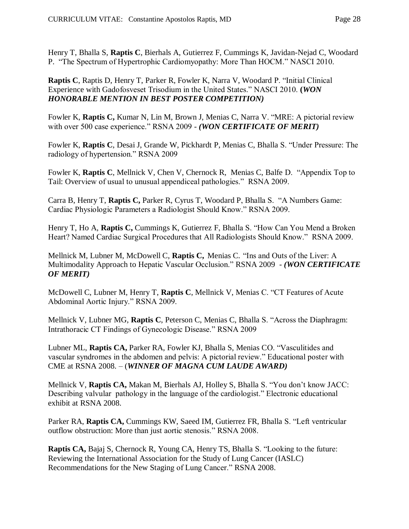Henry T, Bhalla S, **Raptis C**, Bierhals A, Gutierrez F, Cummings K, Javidan-Nejad C, Woodard P. "The Spectrum of Hypertrophic Cardiomyopathy: More Than HOCM." NASCI 2010.

**Raptis C**, Raptis D, Henry T, Parker R, Fowler K, Narra V, Woodard P. "Initial Clinical Experience with Gadofosveset Trisodium in the United States." NASCI 2010. **(***WON HONORABLE MENTION IN BEST POSTER COMPETITION)*

Fowler K, **Raptis C,** Kumar N, Lin M, Brown J, Menias C, Narra V. "MRE: A pictorial review with over 500 case experience." RSNA 2009 - *(WON CERTIFICATE OF MERIT)*

Fowler K, **Raptis C**, Desai J, Grande W, Pickhardt P, Menias C, Bhalla S. "Under Pressure: The radiology of hypertension." RSNA 2009

Fowler K, **Raptis C**, Mellnick V, Chen V, Chernock R, Menias C, Balfe D. "Appendix Top to Tail: Overview of usual to unusual appendiceal pathologies." RSNA 2009.

Carra B, Henry T, **Raptis C,** Parker R, Cyrus T, Woodard P, Bhalla S. "A Numbers Game: Cardiac Physiologic Parameters a Radiologist Should Know." RSNA 2009.

Henry T, Ho A, **Raptis C,** Cummings K, Gutierrez F, Bhalla S. "How Can You Mend a Broken Heart? Named Cardiac Surgical Procedures that All Radiologists Should Know." RSNA 2009.

Mellnick M, Lubner M, McDowell C, **Raptis C,** Menias C."Ins and Outs of the Liver: A Multimodality Approach to Hepatic Vascular Occlusion." RSNA 2009 - *(WON CERTIFICATE OF MERIT)*

McDowell C, Lubner M, Henry T, **Raptis C**, Mellnick V, Menias C. "CT Features of Acute Abdominal Aortic Injury." RSNA 2009.

Mellnick V, Lubner MG, **Raptis C**, Peterson C, Menias C, Bhalla S. "Across the Diaphragm: Intrathoracic CT Findings of Gynecologic Disease." RSNA 2009

Lubner ML, **Raptis CA,** Parker RA, Fowler KJ, Bhalla S, Menias CO. "Vasculitides and vascular syndromes in the abdomen and pelvis: A pictorial review." Educational poster with CME at RSNA 2008. – (*WINNER OF MAGNA CUM LAUDE AWARD)*

Mellnick V, **Raptis CA,** Makan M, Bierhals AJ, Holley S, Bhalla S. "You don't know JACC: Describing valvular pathology in the language of the cardiologist." Electronic educational exhibit at RSNA 2008.

Parker RA, **Raptis CA,** Cummings KW, Saeed IM, Gutierrez FR, Bhalla S. "Left ventricular outflow obstruction: More than just aortic stenosis." RSNA 2008.

**Raptis CA,** Bajaj S, Chernock R, Young CA, Henry TS, Bhalla S. "Looking to the future: Reviewing the International Association for the Study of Lung Cancer (IASLC) Recommendations for the New Staging of Lung Cancer." RSNA 2008.